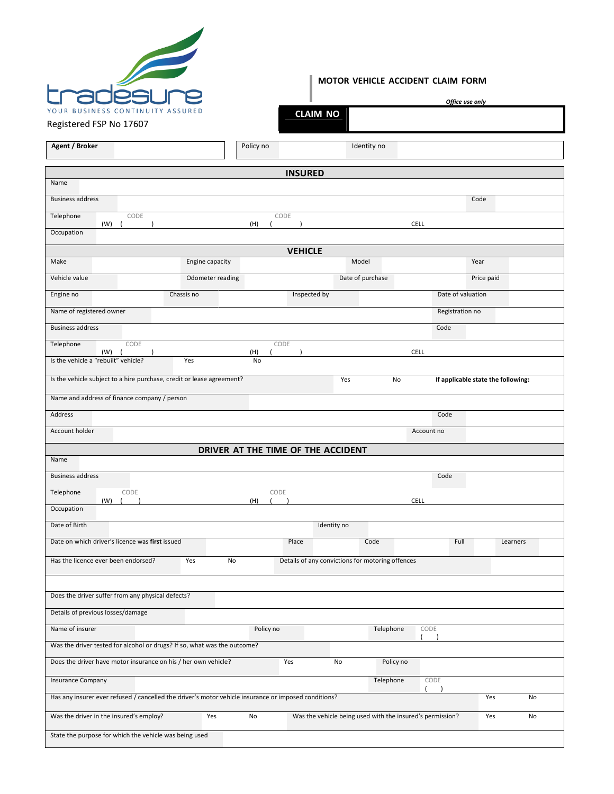

## **MOTOR VEHICLE ACCIDENT CLAIM FORM**

|                                                                                                                                                                                                                                        |                  |           | л.             |                                                           |                  |             | Office use only   |                                    |          |
|----------------------------------------------------------------------------------------------------------------------------------------------------------------------------------------------------------------------------------------|------------------|-----------|----------------|-----------------------------------------------------------|------------------|-------------|-------------------|------------------------------------|----------|
| YOUR BUSINESS CONTINUITY ASSURED<br>Registered FSP No 17607                                                                                                                                                                            |                  |           |                | <b>CLAIM NO</b>                                           |                  |             |                   |                                    |          |
|                                                                                                                                                                                                                                        |                  |           |                |                                                           |                  |             |                   |                                    |          |
| Agent / Broker                                                                                                                                                                                                                         |                  | Policy no |                |                                                           | Identity no      |             |                   |                                    |          |
|                                                                                                                                                                                                                                        |                  |           | <b>INSURED</b> |                                                           |                  |             |                   |                                    |          |
| Name                                                                                                                                                                                                                                   |                  |           |                |                                                           |                  |             |                   |                                    |          |
| <b>Business address</b>                                                                                                                                                                                                                |                  |           |                |                                                           |                  |             |                   | Code                               |          |
| CODE<br>Telephone<br>(W)<br>$\sqrt{ }$                                                                                                                                                                                                 |                  | (H)       | CODE           |                                                           |                  | <b>CELL</b> |                   |                                    |          |
| Occupation                                                                                                                                                                                                                             |                  |           |                |                                                           |                  |             |                   |                                    |          |
|                                                                                                                                                                                                                                        |                  |           | <b>VEHICLE</b> |                                                           |                  |             |                   |                                    |          |
| Make                                                                                                                                                                                                                                   | Engine capacity  |           |                |                                                           | Model            |             |                   | Year                               |          |
| Vehicle value                                                                                                                                                                                                                          | Odometer reading |           |                |                                                           | Date of purchase |             |                   | Price paid                         |          |
| Engine no                                                                                                                                                                                                                              | Chassis no       |           | Inspected by   |                                                           |                  |             | Date of valuation |                                    |          |
| Name of registered owner                                                                                                                                                                                                               |                  |           |                |                                                           |                  |             | Registration no   |                                    |          |
| <b>Business address</b>                                                                                                                                                                                                                |                  |           |                |                                                           |                  | Code        |                   |                                    |          |
| CODE<br>Telephone                                                                                                                                                                                                                      |                  |           | CODE           |                                                           |                  |             |                   |                                    |          |
| (W)<br>Is the vehicle a "rebuilt" vehicle?                                                                                                                                                                                             | Yes              | (H)<br>No |                |                                                           |                  | <b>CELL</b> |                   |                                    |          |
| Is the vehicle subject to a hire purchase, credit or lease agreement?                                                                                                                                                                  |                  |           |                | Yes                                                       | No               |             |                   | If applicable state the following: |          |
| Name and address of finance company / person                                                                                                                                                                                           |                  |           |                |                                                           |                  |             |                   |                                    |          |
| Address                                                                                                                                                                                                                                |                  |           |                |                                                           |                  | Code        |                   |                                    |          |
|                                                                                                                                                                                                                                        |                  |           |                |                                                           |                  |             |                   |                                    |          |
| Account holder                                                                                                                                                                                                                         |                  |           |                |                                                           |                  | Account no  |                   |                                    |          |
| Name                                                                                                                                                                                                                                   |                  |           |                | DRIVER AT THE TIME OF THE ACCIDENT                        |                  |             |                   |                                    |          |
| <b>Business address</b>                                                                                                                                                                                                                |                  |           |                |                                                           |                  | Code        |                   |                                    |          |
| Telephone<br>CODE                                                                                                                                                                                                                      |                  |           | CODE           |                                                           |                  |             |                   |                                    |          |
| (W)<br>Occupation                                                                                                                                                                                                                      |                  | (H)       |                |                                                           |                  | <b>CELL</b> |                   |                                    |          |
| Date of Birth                                                                                                                                                                                                                          |                  |           |                | Identity no                                               |                  |             |                   |                                    |          |
| Date on which driver's licence was first issued                                                                                                                                                                                        |                  |           | Place          |                                                           | Code             |             | Full              |                                    | Learners |
|                                                                                                                                                                                                                                        |                  |           |                |                                                           |                  |             |                   |                                    |          |
| Has the licence ever been endorsed?                                                                                                                                                                                                    | Yes<br>No        |           |                | Details of any convictions for motoring offences          |                  |             |                   |                                    |          |
|                                                                                                                                                                                                                                        |                  |           |                |                                                           |                  |             |                   |                                    |          |
| Does the driver suffer from any physical defects?                                                                                                                                                                                      |                  |           |                |                                                           |                  |             |                   |                                    |          |
| Details of previous losses/damage                                                                                                                                                                                                      |                  |           |                |                                                           |                  |             |                   |                                    |          |
| Name of insurer                                                                                                                                                                                                                        |                  | Policy no |                |                                                           | Telephone        | CODE        |                   |                                    |          |
| Was the driver tested for alcohol or drugs? If so, what was the outcome?                                                                                                                                                               |                  |           |                |                                                           |                  |             |                   |                                    |          |
|                                                                                                                                                                                                                                        |                  |           | Yes            | No                                                        | Policy no        |             |                   |                                    |          |
|                                                                                                                                                                                                                                        |                  |           |                |                                                           |                  |             |                   |                                    |          |
|                                                                                                                                                                                                                                        |                  |           |                |                                                           | Telephone        | CODE        |                   |                                    |          |
|                                                                                                                                                                                                                                        |                  |           |                |                                                           |                  |             |                   | Yes                                | No       |
| Does the driver have motor insurance on his / her own vehicle?<br>Insurance Company<br>Has any insurer ever refused / cancelled the driver's motor vehicle insurance or imposed conditions?<br>Was the driver in the insured's employ? | Yes              | No        |                | Was the vehicle being used with the insured's permission? |                  |             |                   | Yes                                | No       |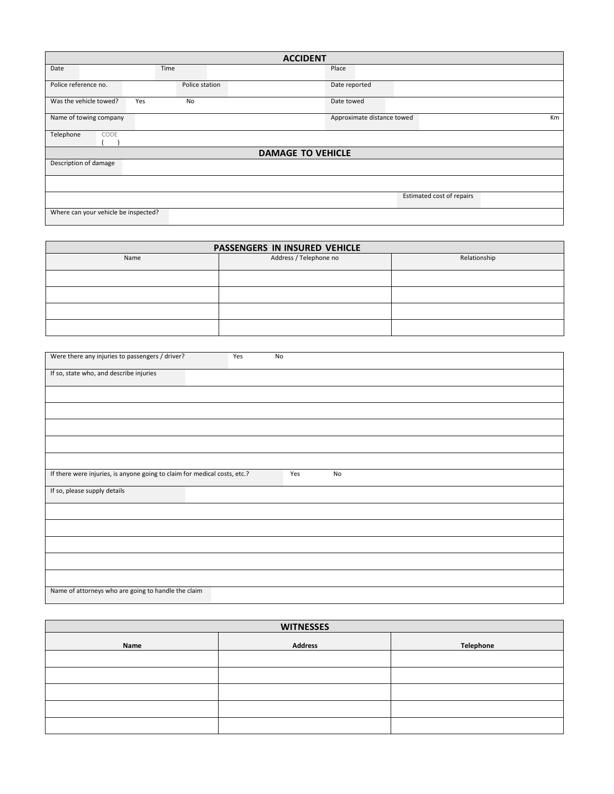| <b>ACCIDENT</b>                      |                |  |                            |    |  |  |
|--------------------------------------|----------------|--|----------------------------|----|--|--|
| Date                                 | Time           |  | Place                      |    |  |  |
| Police reference no.                 | Police station |  | Date reported              |    |  |  |
| Was the vehicle towed?               | Yes<br>No      |  | Date towed                 |    |  |  |
| Name of towing company               |                |  | Approximate distance towed | Km |  |  |
| Telephone<br>CODE                    |                |  |                            |    |  |  |
| <b>DAMAGE TO VEHICLE</b>             |                |  |                            |    |  |  |
| Description of damage                |                |  |                            |    |  |  |
|                                      |                |  |                            |    |  |  |
| Estimated cost of repairs            |                |  |                            |    |  |  |
| Where can your vehicle be inspected? |                |  |                            |    |  |  |

| PASSENGERS IN INSURED VEHICLE |                        |              |  |  |  |  |  |
|-------------------------------|------------------------|--------------|--|--|--|--|--|
| Name                          | Address / Telephone no | Relationship |  |  |  |  |  |
|                               |                        |              |  |  |  |  |  |
|                               |                        |              |  |  |  |  |  |
|                               |                        |              |  |  |  |  |  |
|                               |                        |              |  |  |  |  |  |

| Were there any injuries to passengers / driver?                           | Yes | No  |    |  |
|---------------------------------------------------------------------------|-----|-----|----|--|
| If so, state who, and describe injuries                                   |     |     |    |  |
|                                                                           |     |     |    |  |
|                                                                           |     |     |    |  |
|                                                                           |     |     |    |  |
|                                                                           |     |     |    |  |
|                                                                           |     |     |    |  |
| If there were injuries, is anyone going to claim for medical costs, etc.? |     | Yes | No |  |
| If so, please supply details                                              |     |     |    |  |
|                                                                           |     |     |    |  |
|                                                                           |     |     |    |  |
|                                                                           |     |     |    |  |
|                                                                           |     |     |    |  |
|                                                                           |     |     |    |  |
| Name of attorneys who are going to handle the claim                       |     |     |    |  |

| <b>WITNESSES</b> |                |           |  |  |  |  |
|------------------|----------------|-----------|--|--|--|--|
| Name             | <b>Address</b> | Telephone |  |  |  |  |
|                  |                |           |  |  |  |  |
|                  |                |           |  |  |  |  |
|                  |                |           |  |  |  |  |
|                  |                |           |  |  |  |  |
|                  |                |           |  |  |  |  |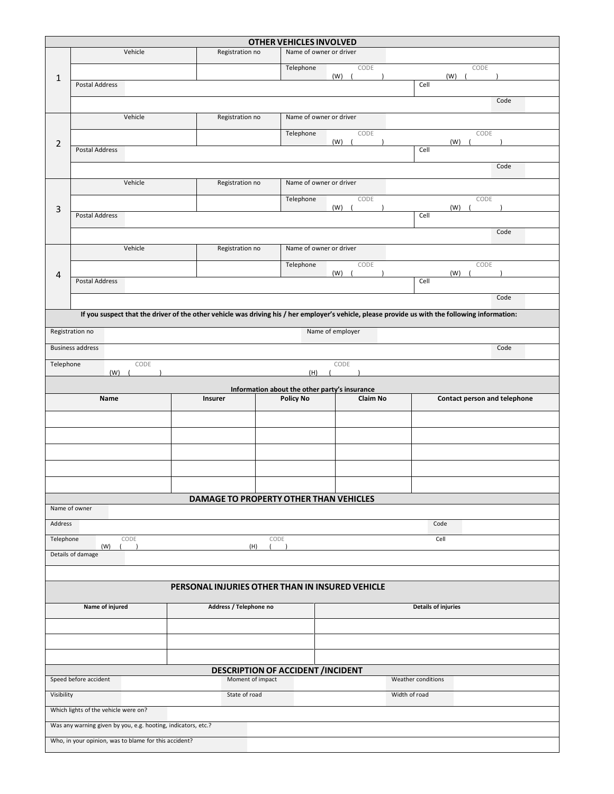|                |                                                                         |         |                                          | OTHER VEHICLES INVOLVED                       |                  |                                                                                                                                                 |      |  |
|----------------|-------------------------------------------------------------------------|---------|------------------------------------------|-----------------------------------------------|------------------|-------------------------------------------------------------------------------------------------------------------------------------------------|------|--|
|                |                                                                         | Vehicle | Registration no                          | Name of owner or driver                       |                  |                                                                                                                                                 |      |  |
|                |                                                                         |         |                                          | Telephone                                     | CODE             | CODE                                                                                                                                            |      |  |
| 1              | Postal Address                                                          |         |                                          |                                               | (W)              | (W)<br>Cell                                                                                                                                     |      |  |
|                |                                                                         |         |                                          |                                               |                  |                                                                                                                                                 | Code |  |
|                |                                                                         | Vehicle | Registration no                          | Name of owner or driver                       |                  |                                                                                                                                                 |      |  |
|                |                                                                         |         |                                          | Telephone                                     | CODE             | CODE                                                                                                                                            |      |  |
| $\overline{2}$ | Postal Address                                                          |         |                                          |                                               | (W)              | (W)<br>Cell                                                                                                                                     |      |  |
|                |                                                                         |         |                                          |                                               |                  |                                                                                                                                                 | Code |  |
|                |                                                                         | Vehicle | Registration no                          | Name of owner or driver                       |                  |                                                                                                                                                 |      |  |
|                |                                                                         |         |                                          | Telephone                                     | CODE             | CODE                                                                                                                                            |      |  |
| 3              | Postal Address                                                          |         |                                          |                                               | (W)              | (W)<br>Cell                                                                                                                                     |      |  |
|                |                                                                         |         |                                          |                                               |                  |                                                                                                                                                 | Code |  |
|                |                                                                         | Vehicle | Registration no                          | Name of owner or driver                       |                  |                                                                                                                                                 |      |  |
|                |                                                                         |         |                                          | Telephone                                     | CODE             | CODE                                                                                                                                            |      |  |
| 4              | Postal Address                                                          |         |                                          |                                               | $(W)$ (          | $(W)$ (<br>Cell                                                                                                                                 |      |  |
|                |                                                                         |         |                                          |                                               |                  |                                                                                                                                                 | Code |  |
|                |                                                                         |         |                                          |                                               |                  | If you suspect that the driver of the other vehicle was driving his / her employer's vehicle, please provide us with the following information: |      |  |
|                | Registration no                                                         |         |                                          |                                               | Name of employer |                                                                                                                                                 |      |  |
|                | <b>Business address</b>                                                 |         |                                          |                                               |                  |                                                                                                                                                 | Code |  |
| Telephone      |                                                                         | CODE    |                                          |                                               | CODE             |                                                                                                                                                 |      |  |
|                | (W)                                                                     |         |                                          | (H)                                           |                  |                                                                                                                                                 |      |  |
|                |                                                                         |         |                                          | Information about the other party's insurance |                  |                                                                                                                                                 |      |  |
|                | Name                                                                    |         | Insurer                                  | <b>Policy No</b>                              | <b>Claim No</b>  | Contact person and telephone                                                                                                                    |      |  |
|                |                                                                         |         |                                          |                                               |                  |                                                                                                                                                 |      |  |
|                |                                                                         |         |                                          |                                               |                  |                                                                                                                                                 |      |  |
|                |                                                                         |         |                                          |                                               |                  |                                                                                                                                                 |      |  |
|                |                                                                         |         |                                          |                                               |                  |                                                                                                                                                 |      |  |
|                |                                                                         |         |                                          |                                               |                  |                                                                                                                                                 |      |  |
|                | Name of owner                                                           |         | DAMAGE TO PROPERTY OTHER THAN VEHICLES   |                                               |                  |                                                                                                                                                 |      |  |
| Address        |                                                                         |         |                                          |                                               |                  | Code                                                                                                                                            |      |  |
|                | Telephone<br>CODE<br>CODE<br>Cell                                       |         |                                          |                                               |                  |                                                                                                                                                 |      |  |
|                | (W)<br>Details of damage                                                |         | (H)                                      |                                               |                  |                                                                                                                                                 |      |  |
|                |                                                                         |         |                                          |                                               |                  |                                                                                                                                                 |      |  |
|                | PERSONAL INJURIES OTHER THAN IN INSURED VEHICLE                         |         |                                          |                                               |                  |                                                                                                                                                 |      |  |
|                | Name of injured<br>Address / Telephone no<br><b>Details of injuries</b> |         |                                          |                                               |                  |                                                                                                                                                 |      |  |
|                |                                                                         |         |                                          |                                               |                  |                                                                                                                                                 |      |  |
|                |                                                                         |         |                                          |                                               |                  |                                                                                                                                                 |      |  |
|                |                                                                         |         |                                          |                                               |                  |                                                                                                                                                 |      |  |
|                |                                                                         |         | <b>DESCRIPTION OF ACCIDENT /INCIDENT</b> |                                               |                  |                                                                                                                                                 |      |  |
|                | Speed before accident                                                   |         | Moment of impact                         |                                               |                  | Weather conditions                                                                                                                              |      |  |
| Visibility     |                                                                         |         | State of road                            |                                               |                  | Width of road                                                                                                                                   |      |  |
|                | Which lights of the vehicle were on?                                    |         |                                          |                                               |                  |                                                                                                                                                 |      |  |
|                | Was any warning given by you, e.g. hooting, indicators, etc.?           |         |                                          |                                               |                  |                                                                                                                                                 |      |  |
|                | Who, in your opinion, was to blame for this accident?                   |         |                                          |                                               |                  |                                                                                                                                                 |      |  |